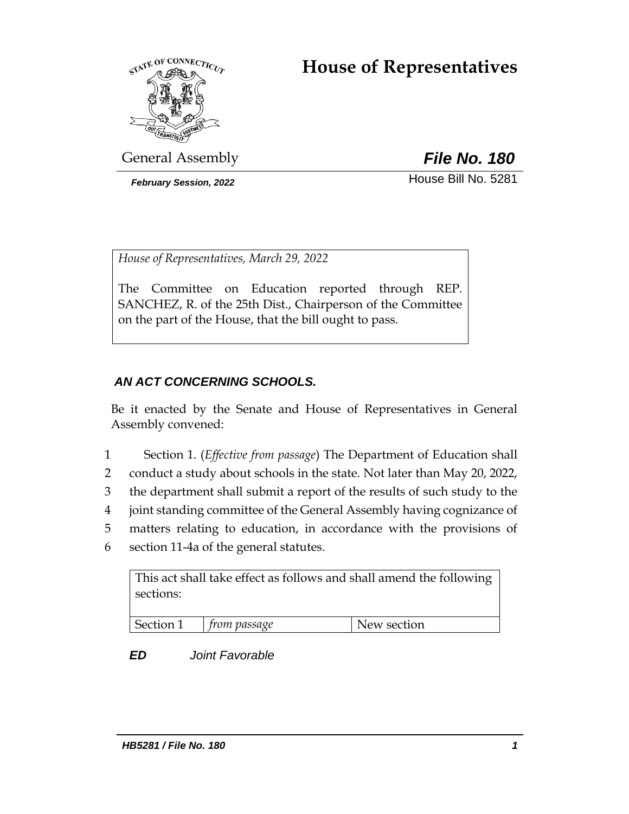# **House of Representatives**



General Assembly *File No. 180*

**February Session, 2022 House Bill No. 5281** 

*House of Representatives, March 29, 2022*

The Committee on Education reported through REP. SANCHEZ, R. of the 25th Dist., Chairperson of the Committee on the part of the House, that the bill ought to pass.

## *AN ACT CONCERNING SCHOOLS.*

Be it enacted by the Senate and House of Representatives in General Assembly convened:

- 1 Section 1. (*Effective from passage*) The Department of Education shall
- 2 conduct a study about schools in the state. Not later than May 20, 2022,
- 3 the department shall submit a report of the results of such study to the
- 4 joint standing committee of the General Assembly having cognizance of
- 5 matters relating to education, in accordance with the provisions of
- 6 section 11-4a of the general statutes.

This act shall take effect as follows and shall amend the following sections:

| Costina:<br>$+r_1$ .<br>. | passage | section<br>W |
|---------------------------|---------|--------------|

## *ED Joint Favorable*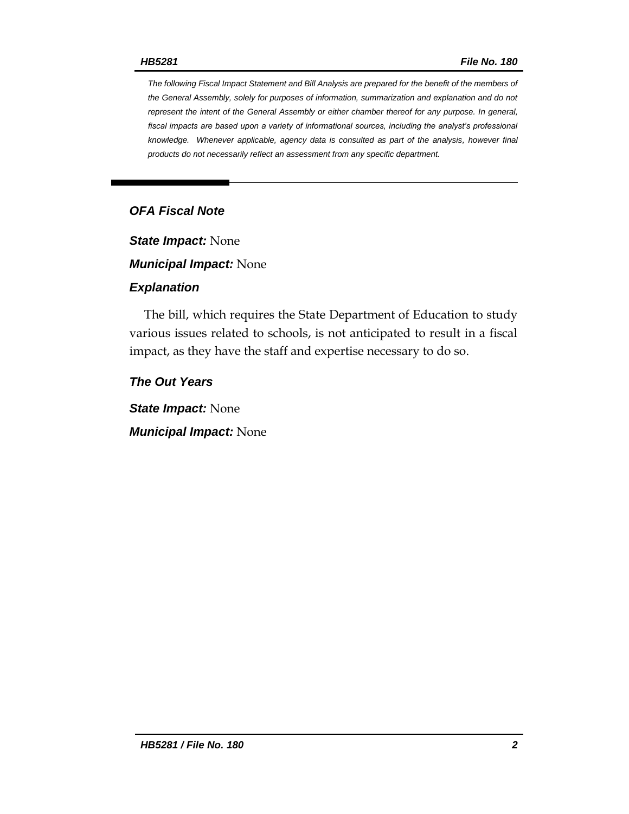*The following Fiscal Impact Statement and Bill Analysis are prepared for the benefit of the members of the General Assembly, solely for purposes of information, summarization and explanation and do not represent the intent of the General Assembly or either chamber thereof for any purpose. In general,*  fiscal impacts are based upon a variety of informational sources, including the analyst's professional *knowledge. Whenever applicable, agency data is consulted as part of the analysis, however final products do not necessarily reflect an assessment from any specific department.*

### *OFA Fiscal Note*

*State Impact:* None

*Municipal Impact:* None

#### *Explanation*

The bill, which requires the State Department of Education to study various issues related to schools, is not anticipated to result in a fiscal impact, as they have the staff and expertise necessary to do so.

*The Out Years*

*State Impact:* None

*Municipal Impact:* None